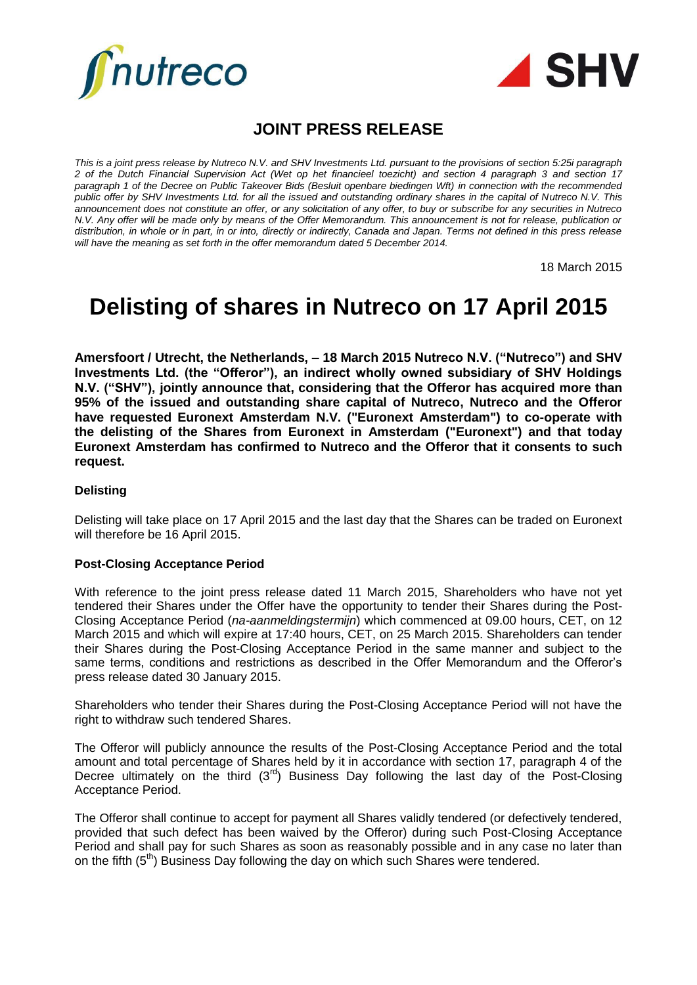



# **JOINT PRESS RELEASE**

*This is a joint press release by Nutreco N.V. and SHV Investments Ltd. pursuant to the provisions of section 5:25i paragraph 2 of the Dutch Financial Supervision Act (Wet op het financieel toezicht) and section 4 paragraph 3 and section 17 paragraph 1 of the Decree on Public Takeover Bids (Besluit openbare biedingen Wft) in connection with the recommended public offer by SHV Investments Ltd. for all the issued and outstanding ordinary shares in the capital of Nutreco N.V. This announcement does not constitute an offer, or any solicitation of any offer, to buy or subscribe for any securities in Nutreco N.V. Any offer will be made only by means of the Offer Memorandum. This announcement is not for release, publication or distribution, in whole or in part, in or into, directly or indirectly, Canada and Japan. Terms not defined in this press release will have the meaning as set forth in the offer memorandum dated 5 December 2014.*

18 March 2015

# **Delisting of shares in Nutreco on 17 April 2015**

**Amersfoort / Utrecht, the Netherlands, – 18 March 2015 Nutreco N.V. ("Nutreco") and SHV Investments Ltd. (the "Offeror"), an indirect wholly owned subsidiary of SHV Holdings N.V. ("SHV"), jointly announce that, considering that the Offeror has acquired more than 95% of the issued and outstanding share capital of Nutreco, Nutreco and the Offeror have requested Euronext Amsterdam N.V. ("Euronext Amsterdam") to co-operate with the delisting of the Shares from Euronext in Amsterdam ("Euronext") and that today Euronext Amsterdam has confirmed to Nutreco and the Offeror that it consents to such request.**

#### **Delisting**

Delisting will take place on 17 April 2015 and the last day that the Shares can be traded on Euronext will therefore be 16 April 2015.

#### **Post-Closing Acceptance Period**

With reference to the joint press release dated 11 March 2015, Shareholders who have not yet tendered their Shares under the Offer have the opportunity to tender their Shares during the Post-Closing Acceptance Period (*na-aanmeldingstermijn*) which commenced at 09.00 hours, CET, on 12 March 2015 and which will expire at 17:40 hours, CET, on 25 March 2015. Shareholders can tender their Shares during the Post-Closing Acceptance Period in the same manner and subject to the same terms, conditions and restrictions as described in the Offer Memorandum and the Offeror's press release dated 30 January 2015.

Shareholders who tender their Shares during the Post-Closing Acceptance Period will not have the right to withdraw such tendered Shares.

The Offeror will publicly announce the results of the Post-Closing Acceptance Period and the total amount and total percentage of Shares held by it in accordance with section 17, paragraph 4 of the Decree ultimately on the third  $(3<sup>rd</sup>)$  Business Day following the last day of the Post-Closing Acceptance Period.

The Offeror shall continue to accept for payment all Shares validly tendered (or defectively tendered, provided that such defect has been waived by the Offeror) during such Post-Closing Acceptance Period and shall pay for such Shares as soon as reasonably possible and in any case no later than on the fifth  $(5<sup>th</sup>)$  Business Day following the day on which such Shares were tendered.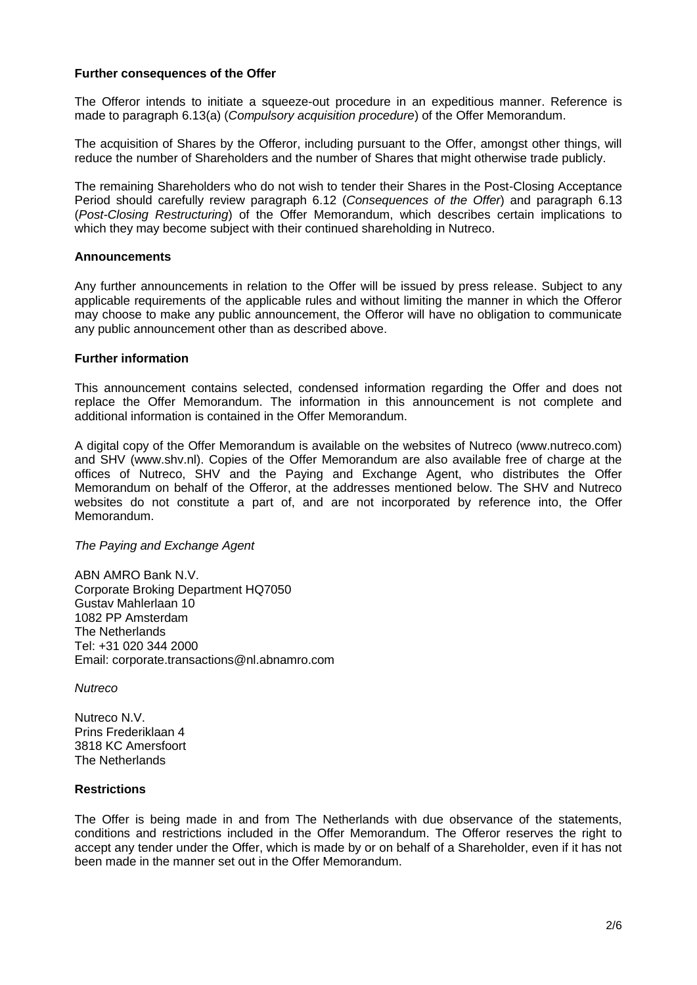#### **Further consequences of the Offer**

The Offeror intends to initiate a squeeze-out procedure in an expeditious manner. Reference is made to paragraph 6.13(a) (*Compulsory acquisition procedure*) of the Offer Memorandum.

The acquisition of Shares by the Offeror, including pursuant to the Offer, amongst other things, will reduce the number of Shareholders and the number of Shares that might otherwise trade publicly.

The remaining Shareholders who do not wish to tender their Shares in the Post-Closing Acceptance Period should carefully review paragraph 6.12 (*Consequences of the Offer*) and paragraph 6.13 (*Post-Closing Restructuring*) of the Offer Memorandum, which describes certain implications to which they may become subject with their continued shareholding in Nutreco.

#### **Announcements**

Any further announcements in relation to the Offer will be issued by press release. Subject to any applicable requirements of the applicable rules and without limiting the manner in which the Offeror may choose to make any public announcement, the Offeror will have no obligation to communicate any public announcement other than as described above.

#### **Further information**

This announcement contains selected, condensed information regarding the Offer and does not replace the Offer Memorandum. The information in this announcement is not complete and additional information is contained in the Offer Memorandum.

A digital copy of the Offer Memorandum is available on the websites of Nutreco (www.nutreco.com) and SHV (www.shv.nl). Copies of the Offer Memorandum are also available free of charge at the offices of Nutreco, SHV and the Paying and Exchange Agent, who distributes the Offer Memorandum on behalf of the Offeror, at the addresses mentioned below. The SHV and Nutreco websites do not constitute a part of, and are not incorporated by reference into, the Offer Memorandum.

#### *The Paying and Exchange Agent*

ABN AMRO Bank N.V. Corporate Broking Department HQ7050 Gustav Mahlerlaan 10 1082 PP Amsterdam The Netherlands Tel: +31 020 344 2000 Email: corporate.transactions@nl.abnamro.com

*Nutreco*

Nutreco N.V. Prins Frederiklaan 4 3818 KC Amersfoort The Netherlands

#### **Restrictions**

The Offer is being made in and from The Netherlands with due observance of the statements, conditions and restrictions included in the Offer Memorandum. The Offeror reserves the right to accept any tender under the Offer, which is made by or on behalf of a Shareholder, even if it has not been made in the manner set out in the Offer Memorandum.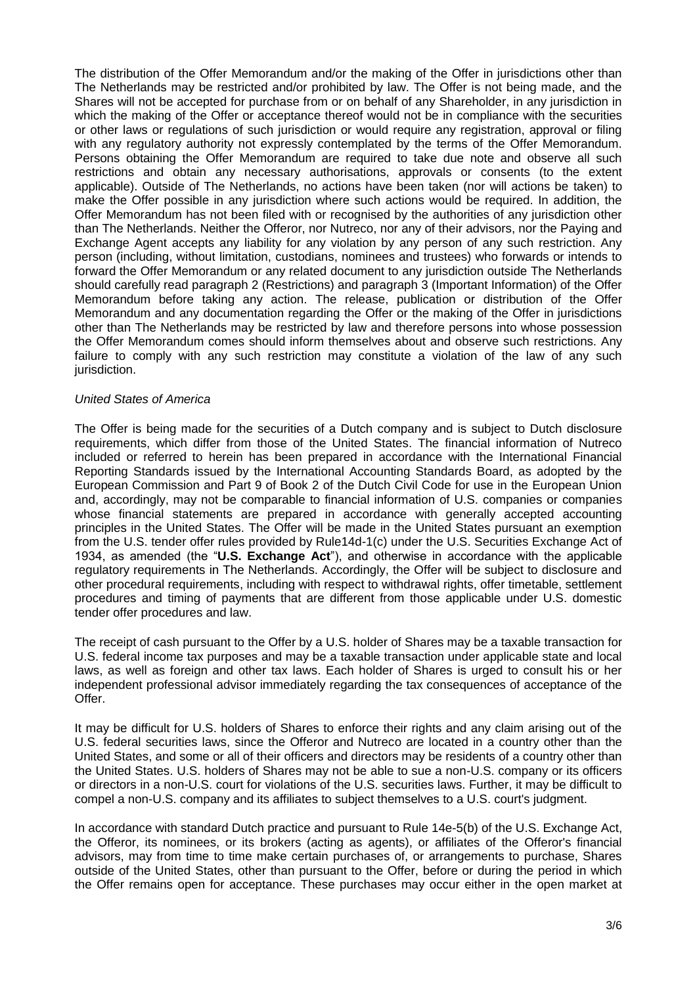The distribution of the Offer Memorandum and/or the making of the Offer in jurisdictions other than The Netherlands may be restricted and/or prohibited by law. The Offer is not being made, and the Shares will not be accepted for purchase from or on behalf of any Shareholder, in any jurisdiction in which the making of the Offer or acceptance thereof would not be in compliance with the securities or other laws or regulations of such jurisdiction or would require any registration, approval or filing with any regulatory authority not expressly contemplated by the terms of the Offer Memorandum. Persons obtaining the Offer Memorandum are required to take due note and observe all such restrictions and obtain any necessary authorisations, approvals or consents (to the extent applicable). Outside of The Netherlands, no actions have been taken (nor will actions be taken) to make the Offer possible in any jurisdiction where such actions would be required. In addition, the Offer Memorandum has not been filed with or recognised by the authorities of any jurisdiction other than The Netherlands. Neither the Offeror, nor Nutreco, nor any of their advisors, nor the Paying and Exchange Agent accepts any liability for any violation by any person of any such restriction. Any person (including, without limitation, custodians, nominees and trustees) who forwards or intends to forward the Offer Memorandum or any related document to any jurisdiction outside The Netherlands should carefully read paragraph 2 (Restrictions) and paragraph 3 (Important Information) of the Offer Memorandum before taking any action. The release, publication or distribution of the Offer Memorandum and any documentation regarding the Offer or the making of the Offer in jurisdictions other than The Netherlands may be restricted by law and therefore persons into whose possession the Offer Memorandum comes should inform themselves about and observe such restrictions. Any failure to comply with any such restriction may constitute a violation of the law of any such jurisdiction.

#### *United States of America*

The Offer is being made for the securities of a Dutch company and is subject to Dutch disclosure requirements, which differ from those of the United States. The financial information of Nutreco included or referred to herein has been prepared in accordance with the International Financial Reporting Standards issued by the International Accounting Standards Board, as adopted by the European Commission and Part 9 of Book 2 of the Dutch Civil Code for use in the European Union and, accordingly, may not be comparable to financial information of U.S. companies or companies whose financial statements are prepared in accordance with generally accepted accounting principles in the United States. The Offer will be made in the United States pursuant an exemption from the U.S. tender offer rules provided by Rule14d-1(c) under the U.S. Securities Exchange Act of 1934, as amended (the "**U.S. Exchange Act**"), and otherwise in accordance with the applicable regulatory requirements in The Netherlands. Accordingly, the Offer will be subject to disclosure and other procedural requirements, including with respect to withdrawal rights, offer timetable, settlement procedures and timing of payments that are different from those applicable under U.S. domestic tender offer procedures and law.

The receipt of cash pursuant to the Offer by a U.S. holder of Shares may be a taxable transaction for U.S. federal income tax purposes and may be a taxable transaction under applicable state and local laws, as well as foreign and other tax laws. Each holder of Shares is urged to consult his or her independent professional advisor immediately regarding the tax consequences of acceptance of the Offer.

It may be difficult for U.S. holders of Shares to enforce their rights and any claim arising out of the U.S. federal securities laws, since the Offeror and Nutreco are located in a country other than the United States, and some or all of their officers and directors may be residents of a country other than the United States. U.S. holders of Shares may not be able to sue a non-U.S. company or its officers or directors in a non-U.S. court for violations of the U.S. securities laws. Further, it may be difficult to compel a non-U.S. company and its affiliates to subject themselves to a U.S. court's judgment.

In accordance with standard Dutch practice and pursuant to Rule 14e-5(b) of the U.S. Exchange Act, the Offeror, its nominees, or its brokers (acting as agents), or affiliates of the Offeror's financial advisors, may from time to time make certain purchases of, or arrangements to purchase, Shares outside of the United States, other than pursuant to the Offer, before or during the period in which the Offer remains open for acceptance. These purchases may occur either in the open market at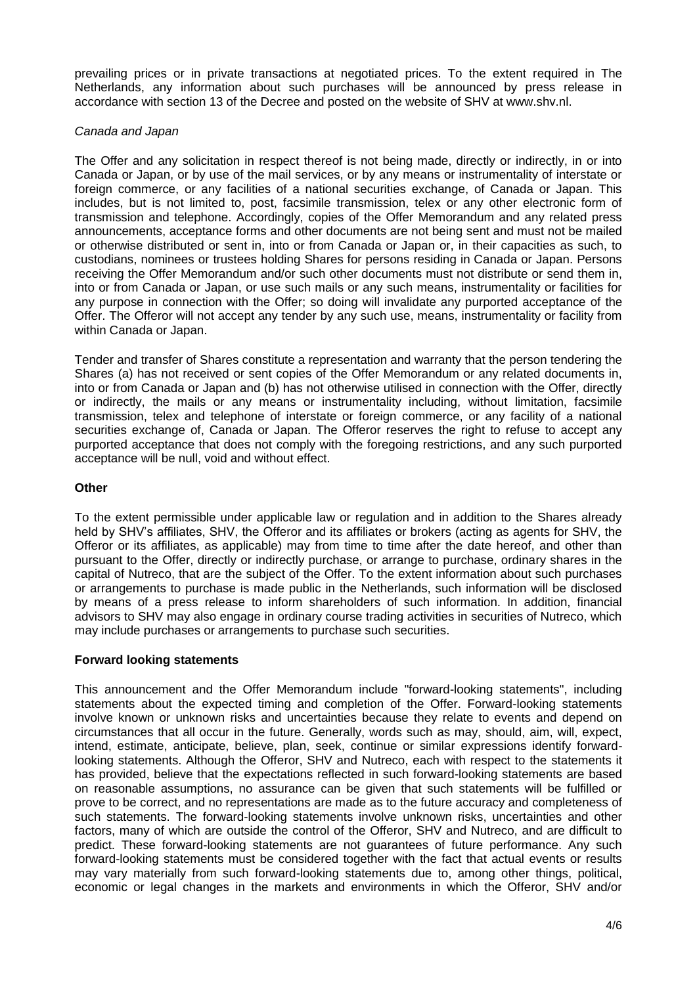prevailing prices or in private transactions at negotiated prices. To the extent required in The Netherlands, any information about such purchases will be announced by press release in accordance with section 13 of the Decree and posted on the website of SHV at www.shv.nl.

## *Canada and Japan*

The Offer and any solicitation in respect thereof is not being made, directly or indirectly, in or into Canada or Japan, or by use of the mail services, or by any means or instrumentality of interstate or foreign commerce, or any facilities of a national securities exchange, of Canada or Japan. This includes, but is not limited to, post, facsimile transmission, telex or any other electronic form of transmission and telephone. Accordingly, copies of the Offer Memorandum and any related press announcements, acceptance forms and other documents are not being sent and must not be mailed or otherwise distributed or sent in, into or from Canada or Japan or, in their capacities as such, to custodians, nominees or trustees holding Shares for persons residing in Canada or Japan. Persons receiving the Offer Memorandum and/or such other documents must not distribute or send them in, into or from Canada or Japan, or use such mails or any such means, instrumentality or facilities for any purpose in connection with the Offer; so doing will invalidate any purported acceptance of the Offer. The Offeror will not accept any tender by any such use, means, instrumentality or facility from within Canada or Japan.

Tender and transfer of Shares constitute a representation and warranty that the person tendering the Shares (a) has not received or sent copies of the Offer Memorandum or any related documents in, into or from Canada or Japan and (b) has not otherwise utilised in connection with the Offer, directly or indirectly, the mails or any means or instrumentality including, without limitation, facsimile transmission, telex and telephone of interstate or foreign commerce, or any facility of a national securities exchange of, Canada or Japan. The Offeror reserves the right to refuse to accept any purported acceptance that does not comply with the foregoing restrictions, and any such purported acceptance will be null, void and without effect.

## **Other**

To the extent permissible under applicable law or regulation and in addition to the Shares already held by SHV's affiliates, SHV, the Offeror and its affiliates or brokers (acting as agents for SHV, the Offeror or its affiliates, as applicable) may from time to time after the date hereof, and other than pursuant to the Offer, directly or indirectly purchase, or arrange to purchase, ordinary shares in the capital of Nutreco, that are the subject of the Offer. To the extent information about such purchases or arrangements to purchase is made public in the Netherlands, such information will be disclosed by means of a press release to inform shareholders of such information. In addition, financial advisors to SHV may also engage in ordinary course trading activities in securities of Nutreco, which may include purchases or arrangements to purchase such securities.

# **Forward looking statements**

This announcement and the Offer Memorandum include "forward-looking statements", including statements about the expected timing and completion of the Offer. Forward-looking statements involve known or unknown risks and uncertainties because they relate to events and depend on circumstances that all occur in the future. Generally, words such as may, should, aim, will, expect, intend, estimate, anticipate, believe, plan, seek, continue or similar expressions identify forwardlooking statements. Although the Offeror, SHV and Nutreco, each with respect to the statements it has provided, believe that the expectations reflected in such forward-looking statements are based on reasonable assumptions, no assurance can be given that such statements will be fulfilled or prove to be correct, and no representations are made as to the future accuracy and completeness of such statements. The forward-looking statements involve unknown risks, uncertainties and other factors, many of which are outside the control of the Offeror, SHV and Nutreco, and are difficult to predict. These forward-looking statements are not guarantees of future performance. Any such forward-looking statements must be considered together with the fact that actual events or results may vary materially from such forward-looking statements due to, among other things, political, economic or legal changes in the markets and environments in which the Offeror, SHV and/or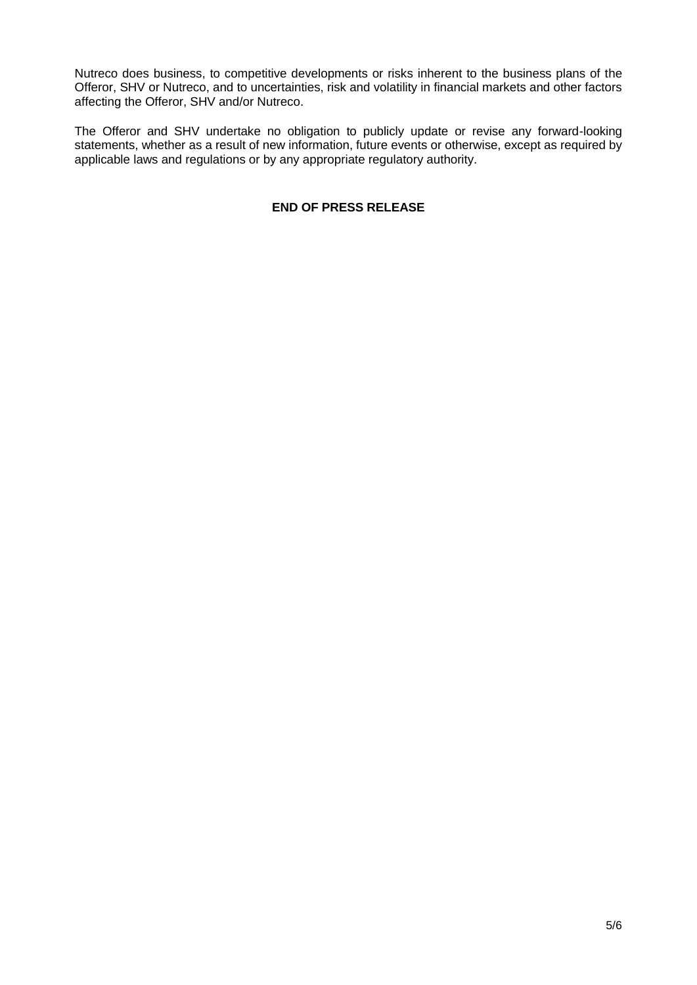Nutreco does business, to competitive developments or risks inherent to the business plans of the Offeror, SHV or Nutreco, and to uncertainties, risk and volatility in financial markets and other factors affecting the Offeror, SHV and/or Nutreco.

The Offeror and SHV undertake no obligation to publicly update or revise any forward-looking statements, whether as a result of new information, future events or otherwise, except as required by applicable laws and regulations or by any appropriate regulatory authority.

# **END OF PRESS RELEASE**